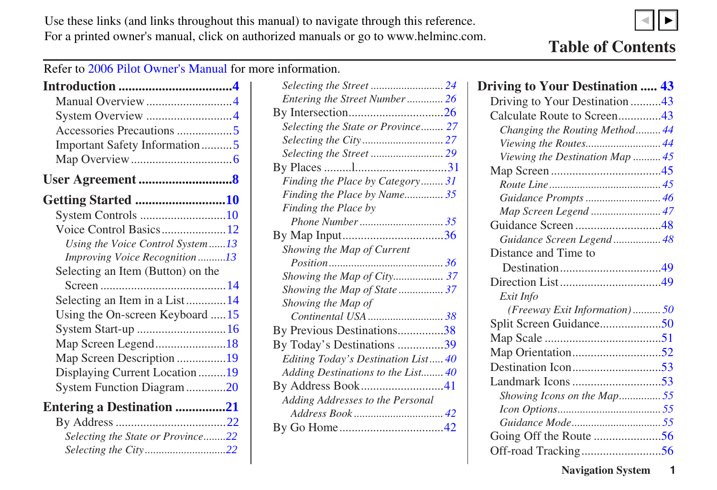<span id="page-0-0"></span>Use these links (and links throughout this manual) to navigate through this reference. For a printed owner's manual, click on authorized manuals or go to www.helminc.com.



▲▼

Refer to 2006 Pilot Owner's Manual for more information.

| Manual Overview 4                 |  |
|-----------------------------------|--|
| System Overview 4                 |  |
|                                   |  |
| Important Safety Information5     |  |
|                                   |  |
|                                   |  |
| <b>Getting Started 10</b>         |  |
| System Controls 10                |  |
| Voice Control Basics12            |  |
| Using the Voice Control System13  |  |
| Improving Voice Recognition13     |  |
| Selecting an Item (Button) on the |  |
|                                   |  |
| Selecting an Item in a List14     |  |
| Using the On-screen Keyboard 15   |  |
| System Start-up 16                |  |
| Map Screen Legend18               |  |
| Map Screen Description 19         |  |
| Displaying Current Location 19    |  |
| System Function Diagram 20        |  |
| <b>Entering a Destination 21</b>  |  |
|                                   |  |
| Selecting the State or Province22 |  |
| Selecting the City22              |  |

| Selecting the Street  24            |  |
|-------------------------------------|--|
| Entering the Street Number26        |  |
|                                     |  |
| Selecting the State or Province 27  |  |
|                                     |  |
|                                     |  |
|                                     |  |
| Finding the Place by Category31     |  |
| Finding the Place by Name35         |  |
| Finding the Place by                |  |
|                                     |  |
|                                     |  |
| Showing the Map of Current          |  |
|                                     |  |
| Showing the Map of City 37          |  |
| Showing the Map of State37          |  |
| Showing the Map of                  |  |
| Continental USA  38                 |  |
| By Previous Destinations38          |  |
| By Today's Destinations 39          |  |
| Editing Today's Destination List 40 |  |
| Adding Destinations to the List40   |  |
|                                     |  |
| Adding Addresses to the Personal    |  |
|                                     |  |
|                                     |  |
|                                     |  |

## **Driving to Your Destination ..... [43](#page-1-0)** Driving to Your Destination .........[.43](#page-1-0)

| Driving to Your Destination45   |
|---------------------------------|
| Calculate Route to Screen43     |
| Changing the Routing Method 44  |
| Viewing the Routes 44           |
| Viewing the Destination Map  45 |
|                                 |
|                                 |
| Guidance Prompts  46            |
| Map Screen Legend  47           |
| Guidance Screen48               |
| Guidance Screen Legend 48       |
| Distance and Time to            |
|                                 |
|                                 |
| Exit Info                       |
| (Freeway Exit Information)50    |
| Split Screen Guidance50         |
|                                 |
|                                 |
|                                 |
|                                 |
| Showing Icons on the Map55      |
|                                 |
|                                 |
|                                 |
|                                 |
|                                 |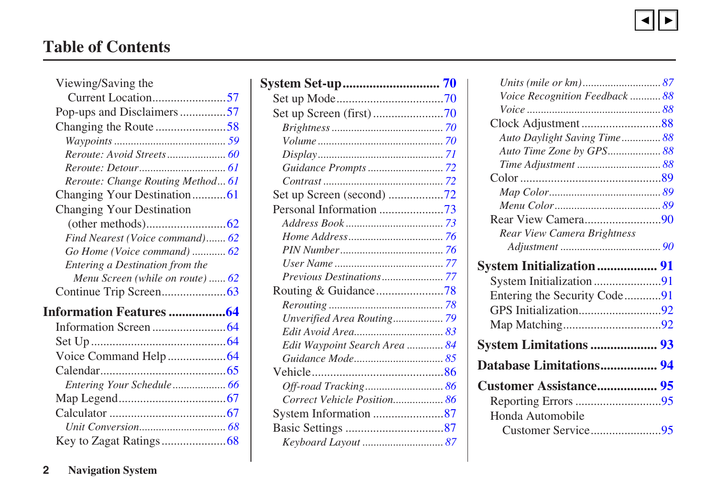

## <span id="page-1-0"></span>**Table of Contents**

| Viewing/Saving the                |  |
|-----------------------------------|--|
| Current Location57                |  |
| Pop-ups and Disclaimers57         |  |
|                                   |  |
|                                   |  |
|                                   |  |
|                                   |  |
| Reroute: Change Routing Method 61 |  |
| Changing Your Destination61       |  |
| <b>Changing Your Destination</b>  |  |
|                                   |  |
| Find Nearest (Voice command) 62   |  |
| Go Home (Voice command)  62       |  |
| Entering a Destination from the   |  |
| Menu Screen (while on route)  62  |  |
|                                   |  |
| <b>Information Features 64</b>    |  |
|                                   |  |
|                                   |  |
|                                   |  |
|                                   |  |
| Entering Your Schedule 66         |  |
|                                   |  |
|                                   |  |
|                                   |  |
|                                   |  |
|                                   |  |

| Routing & Guidance78          |  |
|-------------------------------|--|
|                               |  |
| Unverified Area Routing 79    |  |
|                               |  |
| Edit Waypoint Search Area  84 |  |
|                               |  |
|                               |  |
| Off-road Tracking 86          |  |
| Correct Vehicle Position 86   |  |
| System Information 87         |  |
|                               |  |
|                               |  |

| Voice Recognition Feedback  88                               |  |
|--------------------------------------------------------------|--|
|                                                              |  |
|                                                              |  |
| Auto Daylight Saving Time 88                                 |  |
| Auto Time Zone by GPS88                                      |  |
|                                                              |  |
|                                                              |  |
|                                                              |  |
|                                                              |  |
| Rear View Camera90                                           |  |
| Rear View Camera Brightness                                  |  |
|                                                              |  |
|                                                              |  |
|                                                              |  |
| <b>System Initialization  91</b><br>System Initialization 91 |  |
|                                                              |  |
| Entering the Security Code91                                 |  |
|                                                              |  |
| <b>System Limitations  93</b>                                |  |
| Database Limitations 94                                      |  |
|                                                              |  |
|                                                              |  |
| Honda Automobile                                             |  |
|                                                              |  |